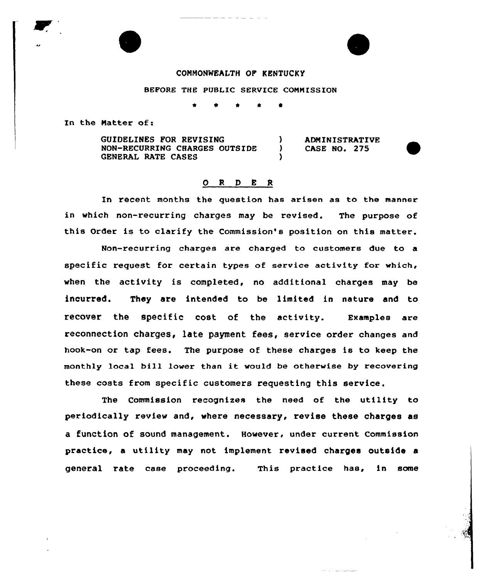#### CONMONNEALTH OP KENTUCKY

#### BEFORE THE PUBLIC SERVICE CONNISSION

\*

In the Natter of:

GUIDELINES FOR REVISING NON-RECURRING CHARGES OUTSIDE GENERAL RATE CASES

) ADMINISTRATIVE<br>) CASE NO. 275 ) CASE NO. 275

# 0 <sup>R</sup> <sup>D</sup> 8 <sup>R</sup>

)

In recent months the question has arisen as to the manner in which non-recurring charges may be revised. The purpose of this Order is to clarify the Commission's position on this matter.

Non-recurring charges are charged to customers due to a specific request for certain types of service activity for which, when the activity is completed, no additional charges may be incurred. They are intended to be limited in nature and to recover the specific cost of the activity. Examples are reconnection charges, late payment fees, service order changes and hook-on or tap fees. The purpose of these charges is to keep the monthly local bill lower than it would be otherwise by recovering these costs from specific customers requesting this service.

The Commission recognizes the need of the utility to periodically review and, where necessary, revise these charges as a function of sound management. However, under current Commission practice, a utility may not implement revised charges outside a general rate case proceeding. This practice has, in some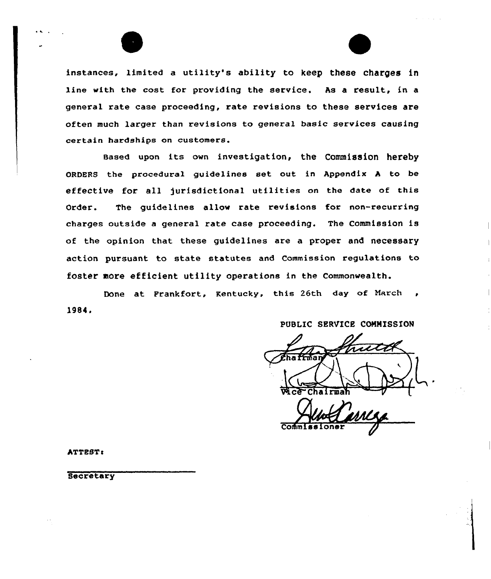instances, limited <sup>a</sup> utility's ability to keep these charges in line with the cost for providing the service, As a result, in a general rate case proceeding, rate revisions to these services are often much larger than revisions to general basic services causing certain hardships on customers.

Based upon its own investigation, the Commission hereby ORDERS the procedural guidelines set out in Appendix h to be effective for all jurisdictional utilities on the date of this Order. The guidelines allow rate revisions for non-recurring charges outside <sup>a</sup> general rate case proceeding. The Commission is of the opinion that these guidelines are a proper and necessary action pursuant to state statutes and Commission regulations to foster more efficient utility operations in the commonwealth.

Done at Frankfort, Kentucky, this 26th day of March, 19B4.

PUBLIC SERVICE COMMISSION

Wice Chairma

ATTEST:

**Secretary**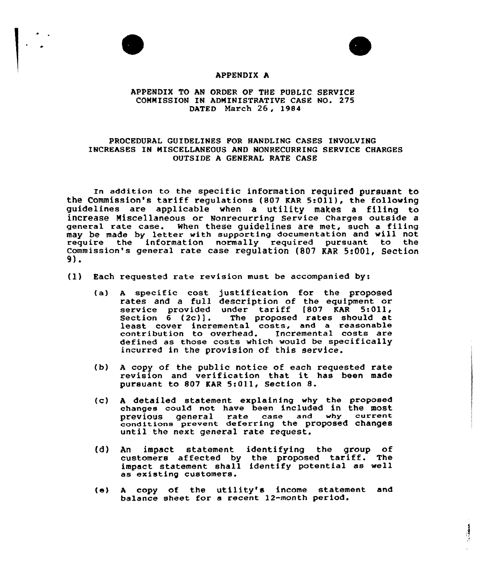



## APPENDIX A

### APPENDIX TO AN ORDER OF THE PUBLIC SERVICE COMMISSION IN ADMINISTRATIVE CASE NO. 275 DATED March 26, 1984

### PROCEDURAL GUIDELINES FOR HANDLING CASES INVOLVING INCREASES IN MISCELLANEOUS AND NONRECURRING SERVICE CHARGES OUTSIDE A GENERAL RATE CASE

In addition to the specific information required pursuant to the Commission's tariff requlations (807 KAR 5:011), the following guidelines are applicable when a utility makes a filing to increase Miscellaneous or Nonrecurring service charges outside a general rate case. When these guidelines are met, such a filing may be made by letter with supporting documentation and will not require the information normally required pursuant to the Commission's general rate case regulation (807 KAR 5:001, Section 9).

- (1) Each requested rate revision must be accompanied by:
	- (a) A specific cost justification for the propose rates and a full description of the equipment or races and a full description of the equipment of<br>service provided under tariff [807 KAR 5:011, Section 6 (2c)]. The proposed rates should at<br>least cover incremental costs, and a reasonable least cover incremental costs, and a reasonable<br>contribution to overhead. Incremental costs are defined as those costs which would be specifically incurred in the provision of this service.
	- (b) <sup>A</sup> copy of the public notice of each requested rate revision and verification that it has been made pursuant to 807 KAR 5:011, Section 8.
	- (c) <sup>A</sup> detailed statement explaining why the proposed changes could not have been included in the most previous general rate case and why current previous general rate case and managements until the next general rate request.
	- (d) An impact statement identifying the group of customers affected by the proposed tariff. The impact statement shall identify potential as well as existing customers.
	- (e) <sup>A</sup> copy of the utility's income statement and balance sheet for a recent 12-month period.